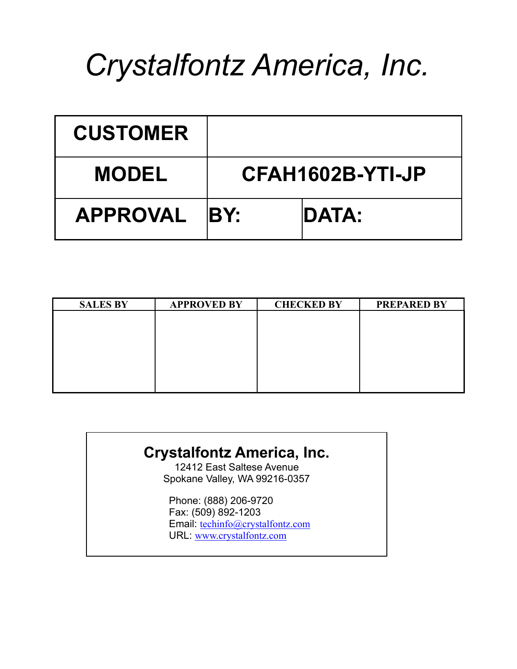# *Crystalfontz America, Inc.*

| <b>CUSTOMER</b> |     |                  |
|-----------------|-----|------------------|
| <b>MODEL</b>    |     | CFAH1602B-YTI-JP |
| <b>APPROVAL</b> | BY: | <b>DATA:</b>     |

| <b>SALES BY</b> | <b>APPROVED BY</b> | <b>CHECKED BY</b> | <b>PREPARED BY</b> |
|-----------------|--------------------|-------------------|--------------------|
|                 |                    |                   |                    |
|                 |                    |                   |                    |
|                 |                    |                   |                    |
|                 |                    |                   |                    |
|                 |                    |                   |                    |
|                 |                    |                   |                    |
|                 |                    |                   |                    |

### **Crystalfontz America, Inc.**

12412 East Saltese Avenue Spokane Valley, WA 99216-0357

Phone: (888) 206-9720 Fax: (509) 892-1203 Email: techinfo@crystalfontz.com URL: www.crystalfontz.com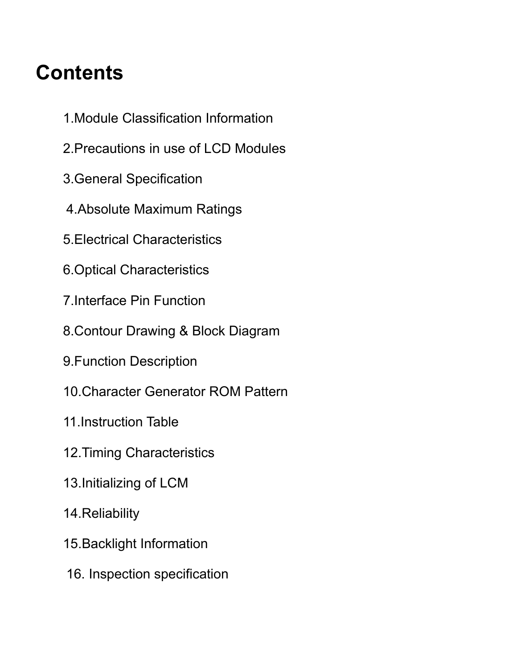## **Contents**

- 1.Module Classification Information
- 2.Precautions in use of LCD Modules
- 3.General Specification
- 4.Absolute Maximum Ratings
- 5.Electrical Characteristics
- 6.Optical Characteristics
- 7.Interface Pin Function
- 8.Contour Drawing & Block Diagram
- 9.Function Description
- 10.Character Generator ROM Pattern
- 11.Instruction Table
- 12.Timing Characteristics
- 13.Initializing of LCM
- 14.Reliability
- 15.Backlight Information
- 16. Inspection specification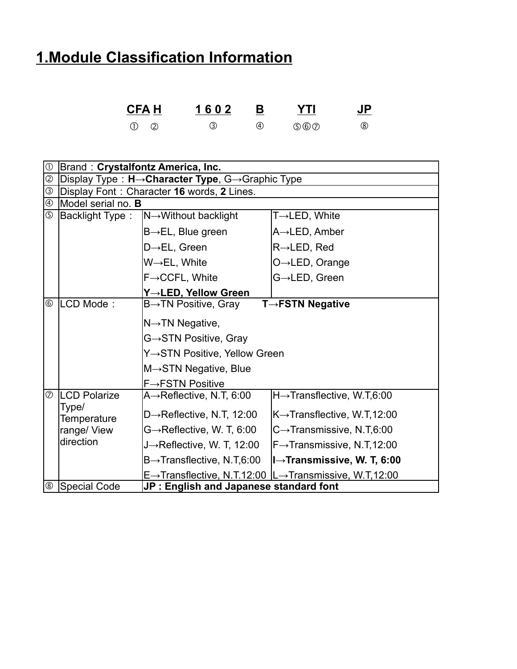### **1.Module Classification Information**

| <b>CFA H</b> | 1602 | В<br>____ | YTI        | <b>JP</b> |
|--------------|------|-----------|------------|-----------|
|              |      | (4)       | 5) (6) (7) |           |

| $\circled{0}$      | Brand: Crystalfontz America, Inc.              |                                            |                                                                    |  |  |  |  |
|--------------------|------------------------------------------------|--------------------------------------------|--------------------------------------------------------------------|--|--|--|--|
| $^{\circledR}$     | Display Type: H→Character Type, G→Graphic Type |                                            |                                                                    |  |  |  |  |
| $\overline{\circ}$ |                                                | Display Font: Character 16 words, 2 Lines. |                                                                    |  |  |  |  |
| $\circledA$        | Model serial no. <b>B</b>                      |                                            |                                                                    |  |  |  |  |
| $\circledS$        | <b>Backlight Type:</b>                         | $N \rightarrow W$ ithout backlight         | $T\rightarrow$ LED, White                                          |  |  |  |  |
|                    |                                                | $B \rightarrow EL$ , Blue green            | A→LED, Amber                                                       |  |  |  |  |
|                    |                                                | $D \rightarrow EL$ , Green                 | $R\rightarrow$ LED, Red                                            |  |  |  |  |
|                    |                                                | W→EL, White                                | $O \rightarrow$ LED, Orange                                        |  |  |  |  |
|                    |                                                | $F \rightarrow CCFL$ , White               | G→LED, Green                                                       |  |  |  |  |
|                    |                                                | Y→LED, Yellow Green                        |                                                                    |  |  |  |  |
| $^{\circledR}$     | LCD Mode:                                      | $B\rightarrow TN$ Positive, Gray           | $T \rightarrow FSTN$ Negative                                      |  |  |  |  |
|                    |                                                | $N \rightarrow TN$ Negative,               |                                                                    |  |  |  |  |
|                    |                                                | G→STN Positive, Gray                       |                                                                    |  |  |  |  |
|                    |                                                | Y→STN Positive, Yellow Green               |                                                                    |  |  |  |  |
|                    |                                                | M→STN Negative, Blue                       |                                                                    |  |  |  |  |
|                    |                                                | $F \rightarrow FSTN$ Positive              |                                                                    |  |  |  |  |
| $\circledcirc$     | <b>LCD Polarize</b>                            | $A \rightarrow$ Reflective, N.T, 6:00      | H→Transflective, W.T,6:00                                          |  |  |  |  |
|                    | Type/<br>Temperature                           | D $\rightarrow$ Reflective, N.T, 12:00     | K→Transflective, W.T,12:00                                         |  |  |  |  |
|                    | range/ View                                    | G→Reflective, W. T, 6:00                   | $C\rightarrow$ Transmissive, N.T,6:00                              |  |  |  |  |
|                    | direction                                      | $J\rightarrow$ Reflective, W. T, 12:00     | F→Transmissive, N.T,12:00                                          |  |  |  |  |
|                    |                                                | $B\rightarrow$ Transflective, N.T,6:00     | $ I \rightarrow$ Transmissive, W. T, 6:00                          |  |  |  |  |
|                    |                                                |                                            | E→Transflective, N.T.12:00 $ L\rightarrow$ Transmissive, W.T,12:00 |  |  |  |  |
| $^{\circledR}$     | Special Code                                   | JP: English and Japanese standard font     |                                                                    |  |  |  |  |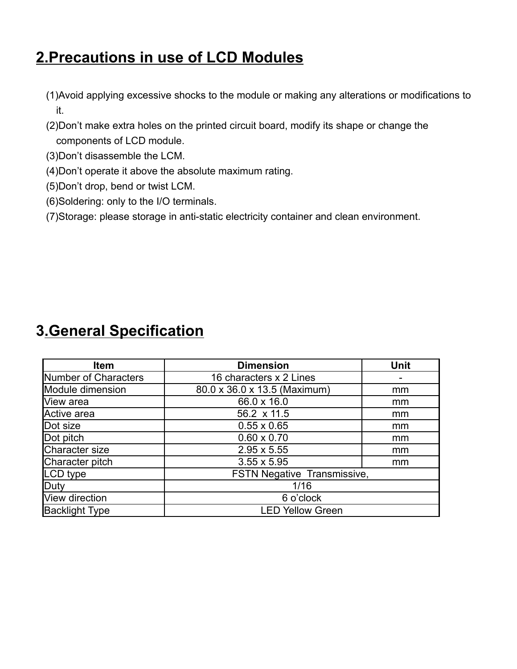### **2.Precautions in use of LCD Modules**

- (1)Avoid applying excessive shocks to the module or making any alterations or modifications to it.
- (2)Don't make extra holes on the printed circuit board, modify its shape or change the components of LCD module.
- (3)Don't disassemble the LCM.
- (4)Don't operate it above the absolute maximum rating.
- (5)Don't drop, bend or twist LCM.
- (6)Soldering: only to the I/O terminals.
- (7)Storage: please storage in anti-static electricity container and clean environment.

### **3.General Specification**

| <b>Item</b>           | <b>Dimension</b>                   | <b>Unit</b> |  |  |  |
|-----------------------|------------------------------------|-------------|--|--|--|
| Number of Characters  | 16 characters x 2 Lines            |             |  |  |  |
| Module dimension      | 80.0 x 36.0 x 13.5 (Maximum)       | mm          |  |  |  |
| View area             | 66.0 x 16.0                        | mm          |  |  |  |
| Active area           | 56.2 x 11.5                        | mm          |  |  |  |
| Dot size              | $0.55 \times 0.65$                 | mm          |  |  |  |
| Dot pitch             | $0.60 \times 0.70$                 | mm          |  |  |  |
| Character size        | $2.95 \times 5.55$                 | mm          |  |  |  |
| Character pitch       | $3.55 \times 5.95$                 | mm          |  |  |  |
| LCD type              | <b>FSTN Negative Transmissive,</b> |             |  |  |  |
| Duty                  | 1/16                               |             |  |  |  |
| View direction        | 6 o'clock                          |             |  |  |  |
| <b>Backlight Type</b> | <b>LED Yellow Green</b>            |             |  |  |  |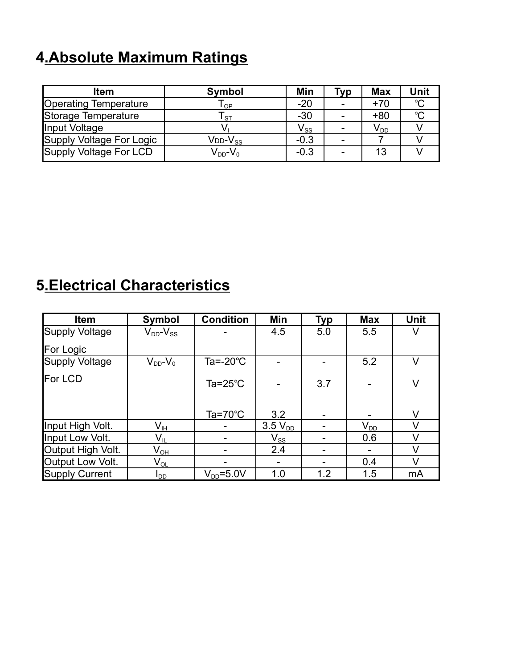### **4.Absolute Maximum Ratings**

| <b>Item</b>              | <b>Symbol</b>              | Min                        | <b>Typ</b>               | <b>Max</b>      | Unit        |
|--------------------------|----------------------------|----------------------------|--------------------------|-----------------|-------------|
| Operating Temperature    | $\mathsf{T}_{\mathsf{OP}}$ | $-20$                      | $\overline{\phantom{a}}$ | $+70$           | $^{\circ}C$ |
| Storage Temperature      | <b>ST</b>                  | $-30$                      | $\overline{\phantom{a}}$ | $+80$           | $^{\circ}C$ |
| Input Voltage            |                            | $\mathsf{V}_{\mathsf{ss}}$ | $\overline{\phantom{0}}$ | V <sub>DD</sub> |             |
| Supply Voltage For Logic | $V$ dd- $V_{SS}$           | $-0.3$                     | $\overline{\phantom{0}}$ |                 |             |
| Supply Voltage For LCD   | $V_{DD}$ - $V_0$           | $-0.3$                     |                          | 13              |             |

### **5.Electrical Characteristics**

| <b>Item</b>           | Symbol                     | <b>Condition</b>         | Min                        | <b>Typ</b> | <b>Max</b>                 | <b>Unit</b> |
|-----------------------|----------------------------|--------------------------|----------------------------|------------|----------------------------|-------------|
| Supply Voltage        | $V_{DD}$ - $V_{SS}$        |                          | 4.5                        | 5.0        | 5.5                        | V           |
| <b>For Logic</b>      |                            |                          |                            |            |                            |             |
| Supply Voltage        | $V_{DD}$ - $V_0$           | Ta=-20°C                 |                            |            | 5.2                        | V           |
| <b>IFor LCD</b>       |                            | Ta= $25^{\circ}$ C       |                            | 3.7        |                            | V           |
|                       |                            | Ta=70 $\degree$ C        | 3.2                        |            |                            | V           |
| Input High Volt.      | $\mathsf{V}_{\mathsf{IH}}$ |                          | $3.5 V_{DD}$               |            | $\mathsf{V}_{\texttt{DD}}$ | V           |
| Input Low Volt.       | $\mathsf{V}_{\mathsf{IL}}$ | $\overline{\phantom{a}}$ | $\mathsf{V}_{\mathsf{SS}}$ |            | 0.6                        | V           |
| Output High Volt.     | $\mathsf{V}_{\mathsf{OH}}$ |                          | 2.4                        |            |                            | $\vee$      |
| Output Low Volt.      | $\mathsf{V}_{\mathsf{OL}}$ |                          |                            |            | 0.4                        | $\vee$      |
| <b>Supply Current</b> | l <sub>DD</sub>            | $V_{DD} = 5.0 V$         | 1.0                        | 1.2        | 1.5                        | mA          |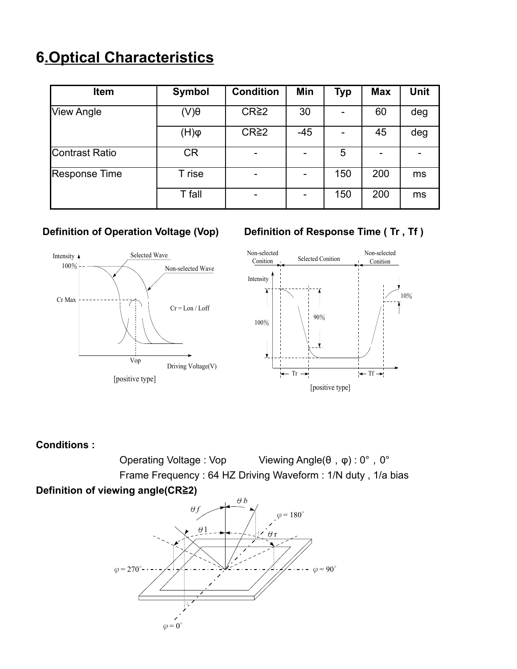### **6.Optical Characteristics**

| <b>Item</b>          | <b>Symbol</b>         | <b>Condition</b>  | Min   | <b>Typ</b> | <b>Max</b> | <b>Unit</b> |
|----------------------|-----------------------|-------------------|-------|------------|------------|-------------|
| View Angle           | $\theta(V)$           | CR <sup>2</sup> 2 | 30    |            | 60         | deg         |
|                      | $(\mathsf{H})\varphi$ | CR <sup>2</sup> 2 | $-45$ |            | 45         | deg         |
| Contrast Ratio       | <b>CR</b>             |                   |       | 5          |            |             |
| <b>Response Time</b> | T rise                |                   |       | 150        | 200        | ms          |
|                      | T fall                |                   |       | 150        | 200        | ms          |



#### **Definition of Operation Voltage (Vop) Definition of Response Time (Tr, Tf)**



#### **Conditions :**

Operating Voltage : Vop Viewing Angle(θ,φ) : 0°, 0° Frame Frequency : 64 HZ Driving Waveform : 1/N duty , 1/a bias **Definition of viewing angle(CR≧2)** 

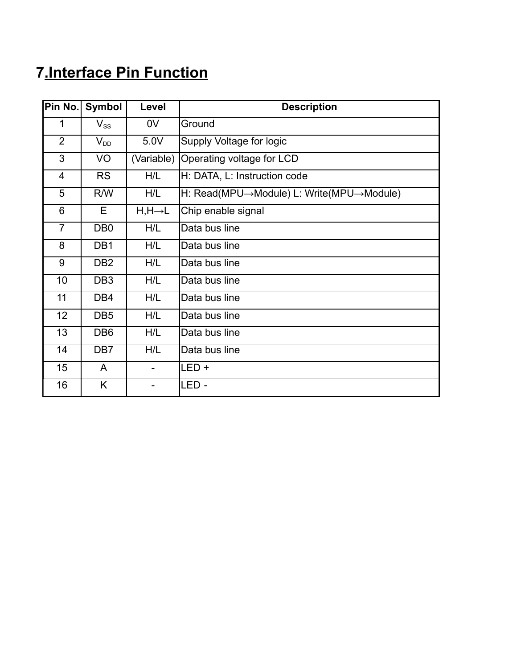### **7.Interface Pin Function**

| Pin No.        | Symbol                     | Level                    | <b>Description</b>                       |
|----------------|----------------------------|--------------------------|------------------------------------------|
| 1              | $\mathsf{V}_{\texttt{SS}}$ | 0 <sub>V</sub>           | Ground                                   |
| $\overline{2}$ | $V_{DD}$                   | 5.0V                     | Supply Voltage for logic                 |
| 3              | VO                         | (Variable)               | Operating voltage for LCD                |
| $\overline{4}$ | <b>RS</b>                  | H/L                      | H: DATA, L: Instruction code             |
| 5              | R/W                        | H/L                      | H: Read(MPU→Module) L: Write(MPU→Module) |
| 6              | E                          | $H, H \rightarrow L$     | Chip enable signal                       |
| $\overline{7}$ | DB <sub>0</sub>            | H/L                      | Data bus line                            |
| 8              | DB1                        | H/L                      | Data bus line                            |
| 9              | DB <sub>2</sub>            | H/L                      | Data bus line                            |
| 10             | DB <sub>3</sub>            | H/L                      | Data bus line                            |
| 11             | DB4                        | H/L                      | Data bus line                            |
| 12             | DB <sub>5</sub>            | H/L                      | Data bus line                            |
| 13             | DB <sub>6</sub>            | H/L                      | Data bus line                            |
| 14             | DB7                        | H/L                      | Data bus line                            |
| 15             | A                          |                          | $LED +$                                  |
| 16             | K                          | $\overline{\phantom{0}}$ | LED -                                    |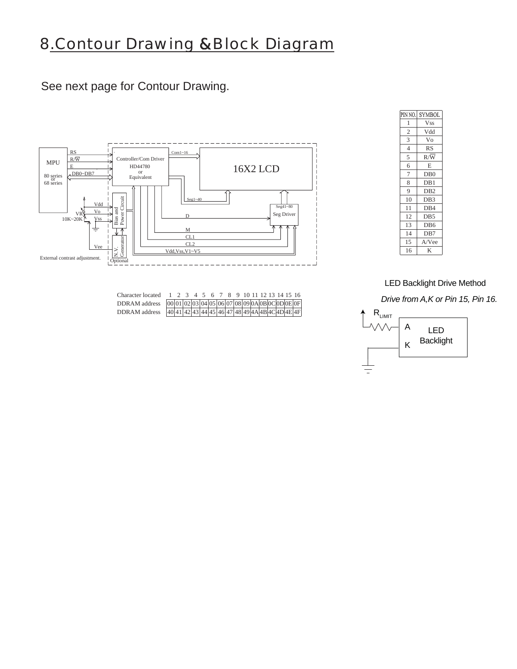### 8.Contour Drawing &Block Diagram

See next page for Contour Drawing.



| Character located 1 2 3 4 5 6 7 8 9 10 11 12 13 14 15 16          |  |  |  |  |  |  |  |  |
|-------------------------------------------------------------------|--|--|--|--|--|--|--|--|
| DDRAM address $[00]01]02]03]04]05]06[07]08]09[0A]0B[0C]0D[0E]0F]$ |  |  |  |  |  |  |  |  |
| DDRAM address 40 41 42 43 44 45 46 47 48 49 4A 4B 4C 4D 4E 4F     |  |  |  |  |  |  |  |  |

| PIN NO. | SYMBOL           |
|---------|------------------|
| 1       | <b>Vss</b>       |
| 2       | Vdd              |
| 3       | Vo               |
| 4       | <b>RS</b>        |
| 5       | $R/\overline{W}$ |
| 6       | E                |
| 7       | DB <sub>0</sub>  |
| 8       | DB1              |
| 9       | DB <sub>2</sub>  |
| 10      | DB <sub>3</sub>  |
| 11      | DB4              |
| 12      | D <sub>B5</sub>  |
| 13      | DB <sub>6</sub>  |
| 14      | DB7              |
| 15      | A/Vee            |
| 16      | K                |
|         |                  |

LED Backlight Drive Method

*Drive from A,K or Pin 15, Pin 16.*

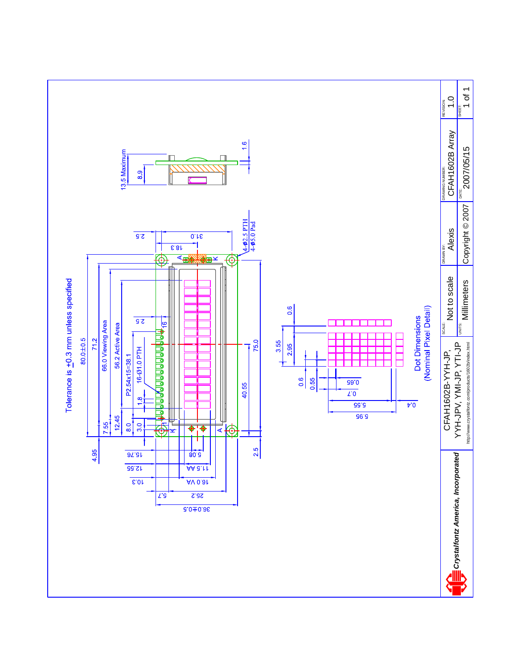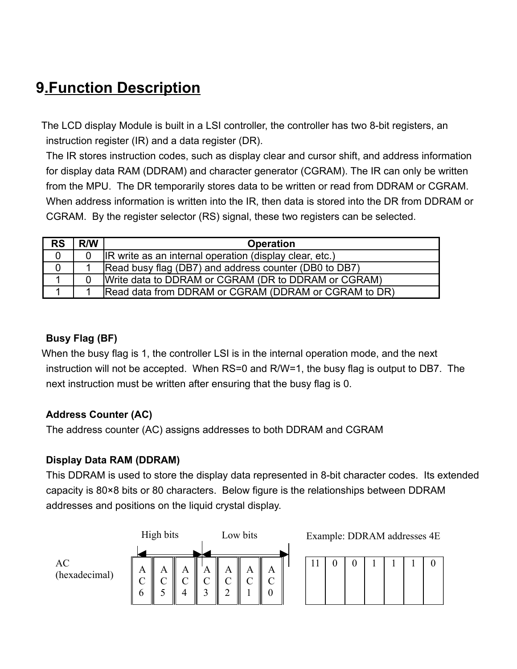### **9.Function Description**

 The LCD display Module is built in a LSI controller, the controller has two 8-bit registers, an instruction register (IR) and a data register (DR).

The IR stores instruction codes, such as display clear and cursor shift, and address information for display data RAM (DDRAM) and character generator (CGRAM). The IR can only be written from the MPU. The DR temporarily stores data to be written or read from DDRAM or CGRAM. When address information is written into the IR, then data is stored into the DR from DDRAM or CGRAM. By the register selector (RS) signal, these two registers can be selected.

| <b>RS</b>      | R/W | <b>Operation</b>                                        |
|----------------|-----|---------------------------------------------------------|
| $\overline{0}$ |     | IR write as an internal operation (display clear, etc.) |
|                |     | Read busy flag (DB7) and address counter (DB0 to DB7)   |
|                |     | Write data to DDRAM or CGRAM (DR to DDRAM or CGRAM)     |
|                |     | Read data from DDRAM or CGRAM (DDRAM or CGRAM to DR)    |

#### **Busy Flag (BF)**

 When the busy flag is 1, the controller LSI is in the internal operation mode, and the next instruction will not be accepted. When RS=0 and R/W=1, the busy flag is output to DB7. The next instruction must be written after ensuring that the busy flag is 0.

#### **Address Counter (AC)**

The address counter (AC) assigns addresses to both DDRAM and CGRAM

#### **Display Data RAM (DDRAM)**

This DDRAM is used to store the display data represented in 8-bit character codes. Its extended capacity is 80×8 bits or 80 characters. Below figure is the relationships between DDRAM addresses and positions on the liquid crystal display.

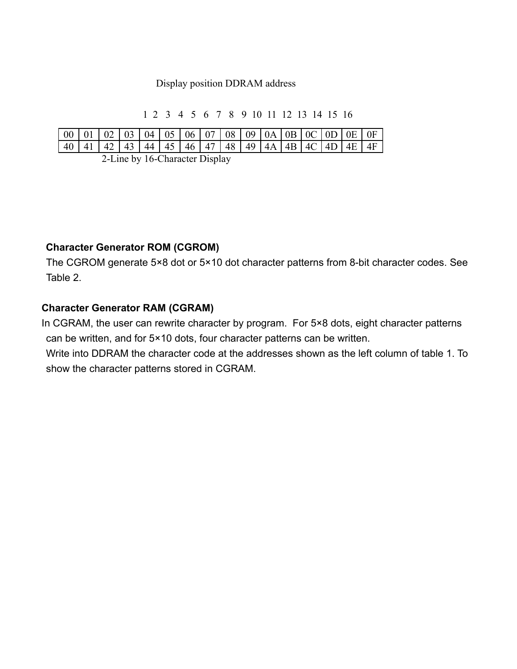#### Display position DDRAM address

1 2 3 4 5 6 7 8 9 10 11 12 13 14 15 16

| 40   41   42   43   44   45   46   47   48   49   4A   4B   4C   4D   4E   4F |  |  |  |  |  | $\vert$ 00 $\vert$ 01 $\vert$ 02 $\vert$ 03 $\vert$ 04 $\vert$ 05 $\vert$ 06 $\vert$ 07 $\vert$ 08 $\vert$ 09 $\vert$ 0A $\vert$ 0B $\vert$ 0C $\vert$ 0D $\vert$ 0E $\vert$ 0F |  |  |  |
|-------------------------------------------------------------------------------|--|--|--|--|--|---------------------------------------------------------------------------------------------------------------------------------------------------------------------------------|--|--|--|
|                                                                               |  |  |  |  |  |                                                                                                                                                                                 |  |  |  |

2-Line by 16-Character Display

#### **Character Generator ROM (CGROM)**

The CGROM generate 5×8 dot or 5×10 dot character patterns from 8-bit character codes. See Table 2.

#### **Character Generator RAM (CGRAM)**

 In CGRAM, the user can rewrite character by program. For 5×8 dots, eight character patterns can be written, and for 5×10 dots, four character patterns can be written.

Write into DDRAM the character code at the addresses shown as the left column of table 1. To show the character patterns stored in CGRAM.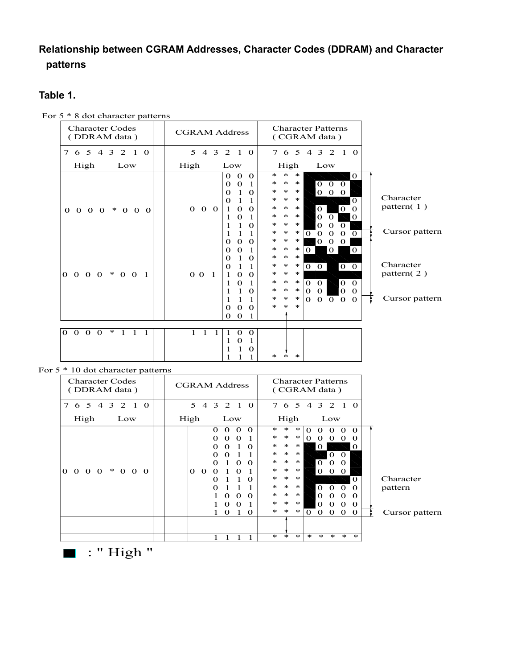#### **Relationship between CGRAM Addresses, Character Codes (DDRAM) and Character patterns**

#### **Table 1.**

| $\sigma$ and enarged patterns                                                                         |                                                                                                                                                                                                                                                                                     |                                                                                                                                                                                                                                                                                                                                                                                                                                                                                                                                                                        |                                              |
|-------------------------------------------------------------------------------------------------------|-------------------------------------------------------------------------------------------------------------------------------------------------------------------------------------------------------------------------------------------------------------------------------------|------------------------------------------------------------------------------------------------------------------------------------------------------------------------------------------------------------------------------------------------------------------------------------------------------------------------------------------------------------------------------------------------------------------------------------------------------------------------------------------------------------------------------------------------------------------------|----------------------------------------------|
| <b>Character Codes</b><br>(DDRAM data)                                                                | <b>CGRAM Address</b>                                                                                                                                                                                                                                                                | <b>Character Patterns</b><br>(CGRAM data)                                                                                                                                                                                                                                                                                                                                                                                                                                                                                                                              |                                              |
| 5 4 3 2 1 0<br>$\tau$<br>6                                                                            | 5 4 3 2 1 0                                                                                                                                                                                                                                                                         | 7 6 5 4 3 2 1 0                                                                                                                                                                                                                                                                                                                                                                                                                                                                                                                                                        |                                              |
| High<br>Low                                                                                           | High<br>Low                                                                                                                                                                                                                                                                         | High<br>Low                                                                                                                                                                                                                                                                                                                                                                                                                                                                                                                                                            |                                              |
| $0\ 0\ 0\ 0\ *\ 0\ 0\ 0$                                                                              | $\mathbf 0$<br>$\mathbf{0}$<br>$\Omega$<br>$\mathbf{0}$<br>$\mathbf 0$<br>1<br>1<br>$\mathbf 0$<br>$\Omega$<br>1<br>$\Omega$<br>$0\quad 0\quad 0$<br>$\Omega$<br>$\Omega$<br>1<br>$\mathbf{0}$<br>1<br>1<br>$\Omega$<br>1<br>1<br>1<br>1<br>$\mathbf{0}$<br>$\Omega$<br>$\mathbf 0$ | $\ast$<br>$\ast$<br>$\ast$<br>$\mathbf{O}$<br>$\ast$<br>$\ast$<br>$\mathbf{O}$<br>$0\quad 0$<br>∗<br>$\overline{0}$<br>∗<br>$\ast$<br>∗<br>$0\quad 0$<br>$\ast$<br>$\ast$<br>$\ast$<br>$\Omega$<br>$\ast$<br>$\Omega$<br>$\Omega$<br>∗<br>∗<br>$\Omega$<br>$\ast$<br>$\ast$<br>$\ast$<br>$\mathbf 0$<br>$\Omega$<br>$\mathbf{0}$<br>$\ast$<br>$\ast$<br>$\ast$<br>$\Omega$<br>$\Omega$<br>$\Omega$<br>$\ast$<br>$\ast$<br>$\ast$<br>$\Omega$<br>$\Omega$<br>$\Omega$<br>$\Omega$<br>$\Omega$<br>$\ast$<br>$\ast$<br>$\ast$<br>$\Omega$<br>$\mathbf{0}$<br>$\mathbf{0}$ | Character<br>pattern $(1)$<br>Cursor pattern |
| $0\; 0\; 0\; 0\; * \; 0\; 0\; 1$                                                                      | $\Omega$<br>$\Omega$<br>1<br>1<br>$\Omega$<br>0<br>1<br>$\Omega$<br>$0\quad 0\quad 1$<br>1<br>$\Omega$<br>$\Omega$<br>$\Omega$<br>1<br>1<br>1<br>$\Omega$<br>$\Omega$<br>$\Omega$<br>$\Omega$                                                                                       | $\ast$<br>$\ast$<br>$\ast$<br>$\mathbf{0}$<br>0<br>0<br>$\ast$<br>$\ast$<br>$\ast$<br>$\begin{matrix} 0 & 0 \end{matrix}$<br>$\ast$<br>$\ast$<br>$\ast$<br>$\mathbf{0}$<br>$\mathbf{O}$<br>$\ast$<br>$\ast$<br>$\ast$<br>$\overline{0}$<br>$\ast$<br>$\ast$<br>$\ast$<br>$\Omega$<br>$\Omega$<br>$\Omega$<br>$\ast$<br>$\Omega$<br>$\Omega$<br>$\ast$<br>∗<br>$\Omega$<br>$\Omega$<br>$\ast$<br>$\ast$<br>$\mathbf{0}$<br>$\mathbf{0}$<br>∗<br>$\mathbf{0}$<br>$\Omega$<br>$\Omega$<br>$\ast$<br>$*$<br>$\ast$                                                         | Character<br>pattern $(2)$<br>Cursor pattern |
|                                                                                                       | $\mathbf{0}$<br>$\Omega$<br>1                                                                                                                                                                                                                                                       |                                                                                                                                                                                                                                                                                                                                                                                                                                                                                                                                                                        |                                              |
| $\ast$                                                                                                |                                                                                                                                                                                                                                                                                     |                                                                                                                                                                                                                                                                                                                                                                                                                                                                                                                                                                        |                                              |
| $\mathbf{O}$<br>$\overline{0}$<br>$\mathbf{0}$<br>$\overline{1}$<br>$\mathbf{1}$<br>$\mathbf{O}$<br>1 | $1 \quad 1$<br>1<br>$\mathbf{0}$<br>1<br>$\Omega$<br>$\bf{0}$<br>1<br>1<br>1<br>$\Omega$                                                                                                                                                                                            | $\ast$<br>$\ast$<br>∗                                                                                                                                                                                                                                                                                                                                                                                                                                                                                                                                                  |                                              |

For 5 \* 8 dot character patterns

#### For 5 \* 10 dot character patterns

| 10 Got endructer patterns                  |                                                                                                                                                                                                                                                                                                                                  |                                                                                                                                                                                                                                                                                                                                                                                                                                                                                                                                                                                                                                           |
|--------------------------------------------|----------------------------------------------------------------------------------------------------------------------------------------------------------------------------------------------------------------------------------------------------------------------------------------------------------------------------------|-------------------------------------------------------------------------------------------------------------------------------------------------------------------------------------------------------------------------------------------------------------------------------------------------------------------------------------------------------------------------------------------------------------------------------------------------------------------------------------------------------------------------------------------------------------------------------------------------------------------------------------------|
| <b>Character Codes</b><br>(DDRAM data)     | <b>CGRAM Address</b>                                                                                                                                                                                                                                                                                                             | <b>Character Patterns</b><br>(CGRAM data)                                                                                                                                                                                                                                                                                                                                                                                                                                                                                                                                                                                                 |
| 7 6 5 4<br>3 2 1 0                         | 3 2 1<br>5.<br>$\overline{4}$<br>$\Omega$                                                                                                                                                                                                                                                                                        | 4 3 2<br>765<br>$\overline{1}$<br>- 0                                                                                                                                                                                                                                                                                                                                                                                                                                                                                                                                                                                                     |
| High<br>Low                                | High<br>Low                                                                                                                                                                                                                                                                                                                      | High<br>Low                                                                                                                                                                                                                                                                                                                                                                                                                                                                                                                                                                                                                               |
| $* 0 0 0$<br>$\Omega$<br>$0\quad 0\quad 0$ | $\Omega$<br>$\Omega$<br>0<br>0<br>$\Omega$<br>$\Omega$<br>1<br>$\Omega$<br>0<br>$\Omega$<br>0<br>$\mathbf{1}$<br>0<br>$\Omega$<br>1<br>1<br>$\Omega$<br>0<br>$\Omega$<br>$\Omega$<br>0<br>0<br>0<br>1<br>1<br>1<br>-1<br>$\Omega$<br>$\Omega$<br>O<br>$\Omega$<br>0<br>$\Omega$<br>$\Omega$<br>$\Omega$<br>1<br>0<br>0<br>ı<br>1 | $\ast$<br>$\ast$<br>$*$<br>$\Omega$<br>$\Omega$<br>0<br>0<br>0<br>$\ast$<br>$\ast$<br>$*$<br>0<br>$\Omega$<br>0<br>$\Omega$<br>$\Omega$<br>$\ast$<br>$*$<br>$*$<br>$\Omega$<br>0<br>$\ast$<br>$*$<br>$\ast$<br>$\Omega$<br>0<br>$\ast$<br>$*$<br>$\ast$<br>$\Omega$<br>$\Omega$<br>0<br>$\ast$<br>$*$<br>$\ast$<br>0<br>0<br>0<br>$\ast$<br>$\ast$<br>$*$<br>$\Omega$<br>$\ast$<br>$*$<br>$\ast$<br>$\Omega$<br>$\Omega$<br>0<br>$\Omega$<br>$\ast$<br>$*$<br>$\ast$<br>$\Omega$<br>0<br>0<br>$\Omega$<br>$\ast$<br>$*$<br>$\ast$<br>$\Omega$<br>$\Omega$<br>$\Omega$<br>0<br>$\ast$<br>$\ast$<br>$*$<br>$\mathbf{0}$<br>0<br>0<br>0<br>0 |
|                                            |                                                                                                                                                                                                                                                                                                                                  |                                                                                                                                                                                                                                                                                                                                                                                                                                                                                                                                                                                                                                           |
|                                            |                                                                                                                                                                                                                                                                                                                                  | $*$<br>$\ast$<br>$*$<br>$\ast$<br>$\ast$<br>$\ast$<br>$\ast$<br>$\ast$                                                                                                                                                                                                                                                                                                                                                                                                                                                                                                                                                                    |

Character pattern

Cursor pattern

 $\blacksquare$ : " High "

 $\overline{\phantom{a}}$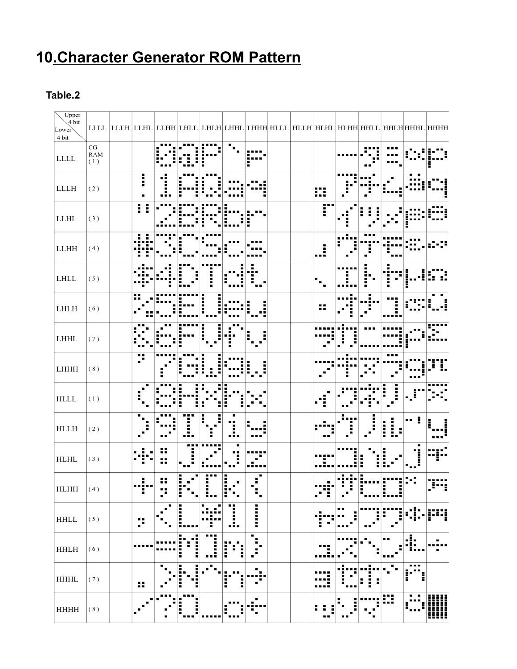### **10.Character Generator ROM Pattern**

#### **Table.2**

| $U$ pper<br>$\sqrt{4}$ bit<br>Lower<br>4 bit |                                       |                      |                |        |                                      |             | LLLL  LLLH LLHL LLHH LHLL LHLH LHHL LHHH HLLL HLLH HLHL HLHH HHLL HHLH HHHL HHHH |       |  |   |  |
|----------------------------------------------|---------------------------------------|----------------------|----------------|--------|--------------------------------------|-------------|----------------------------------------------------------------------------------|-------|--|---|--|
| ${\rm LLLL}$                                 | $\frac{\text{CG}}{\text{RAM}}$<br>(1) |                      |                |        |                                      |             |                                                                                  |       |  |   |  |
| ${\rm L}{\rm L}{\rm L}{\rm H}$               | (2)                                   | I                    |                |        |                                      |             |                                                                                  | ₩     |  |   |  |
| ${\rm LLHL}$                                 | (3)                                   |                      |                |        |                                      |             |                                                                                  | 58    |  |   |  |
| $\mathop{\rm LLHH}\nolimits$                 | (4)                                   |                      |                |        |                                      |             |                                                                                  | ă<br> |  |   |  |
| $\mbox{LHLL}$                                | (5)                                   |                      |                |        |                                      |             |                                                                                  |       |  |   |  |
| $\mathbf{L}\mathbf{H}\mathbf{L}\mathbf{H}$   | (6)                                   | 11                   |                |        |                                      |             |                                                                                  | 99    |  |   |  |
| $\mbox{LHHL}$                                | (7)                                   |                      |                |        |                                      |             |                                                                                  |       |  |   |  |
| LHHH                                         | (8)                                   | p                    |                |        |                                      |             |                                                                                  |       |  |   |  |
| $\operatorname{HLLL}$                        | (1)                                   |                      |                |        |                                      |             |                                                                                  |       |  |   |  |
| $\operatorname{HLLH}$                        | (2)                                   |                      |                |        |                                      |             |                                                                                  |       |  | I |  |
| $\operatorname{HLHL}$                        | (3)                                   |                      |                |        |                                      |             |                                                                                  |       |  |   |  |
| ${\rm H}{\rm L}{\rm H}{\rm H}$               | (4)                                   | Ξ                    | $\blacksquare$ | Ĩ      | I<br>$\overline{\phantom{a}}$ .<br>Η | ۰.          |                                                                                  | Е     |  |   |  |
| $\operatorname{HHLL}$                        | (5)                                   | 15                   |                | i      | Η<br>Д,                              | :<br>:<br>: |                                                                                  |       |  |   |  |
| $\operatorname{HHLH}$                        | (6)                                   |                      |                | H      | į                                    | ٠<br>×<br>z |                                                                                  |       |  |   |  |
| $\operatorname{HHHL}$                        | (7)                                   | $\ddot{\phantom{a}}$ | п              | H<br>I | i<br>I                               |             |                                                                                  |       |  |   |  |
| $\rm HHHH$                                   | $(\,8\,)$                             |                      |                | I      |                                      | Ξ           |                                                                                  |       |  | ₩ |  |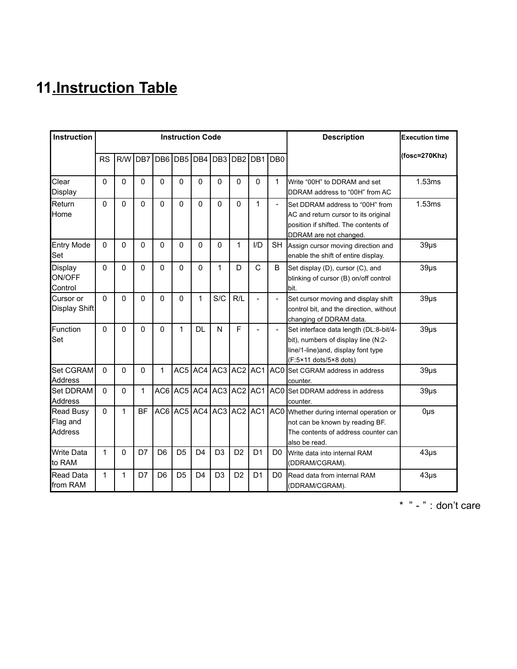### **11.Instruction Table**

| <b>Instruction</b>                      |              |          |              |                | <b>Instruction Code</b> |                |                                     |                |                             |                          | <b>Description</b>                                                                                                                             | <b>Execution time</b> |
|-----------------------------------------|--------------|----------|--------------|----------------|-------------------------|----------------|-------------------------------------|----------------|-----------------------------|--------------------------|------------------------------------------------------------------------------------------------------------------------------------------------|-----------------------|
|                                         | <b>RS</b>    | R/W      | DB7          |                |                         |                |                                     |                | DB6 DB5 DB4 DB3 DB2 DB1 DB0 |                          |                                                                                                                                                | $(fosc=270Khz)$       |
| Clear<br>Display                        | 0            | 0        | 0            | 0              | 0                       | 0              | 0                                   | 0              | 0                           | 1                        | Write "00H" to DDRAM and set<br>DDRAM address to "00H" from AC                                                                                 | 1.53ms                |
| Return<br>Home                          | $\Omega$     | $\Omega$ | $\Omega$     | $\mathbf{0}$   | 0                       | $\Omega$       | $\Omega$                            | $\mathbf{0}$   | 1                           | $\overline{\phantom{a}}$ | Set DDRAM address to "00H" from<br>AC and return cursor to its original<br>position if shifted. The contents of<br>DDRAM are not changed.      | 1.53ms                |
| <b>Entry Mode</b><br>Set                | 0            | 0        | 0            | 0              | 0                       | 0              | 0                                   | 1              | $1/D$                       | <b>SH</b>                | Assign cursor moving direction and<br>enable the shift of entire display.                                                                      | $39\mu s$             |
| Display<br>ON/OFF<br>Control            | $\Omega$     | $\Omega$ | $\Omega$     | $\Omega$       | $\Omega$                | $\Omega$       | $\mathbf{1}$                        | D              | $\mathsf{C}$                | B                        | Set display (D), cursor (C), and<br>blinking of cursor (B) on/off control<br>bit.                                                              | $39\mus$              |
| Cursor or<br>Display Shift              | $\Omega$     | $\Omega$ | $\Omega$     | 0              | 0                       | 1              | S/C                                 | R/L            | $\overline{a}$              |                          | Set cursor moving and display shift<br>control bit, and the direction, without<br>changing of DDRAM data.                                      | $39\mu s$             |
| Function<br>Set                         | 0            | $\Omega$ | $\Omega$     | $\Omega$       | $\mathbf{1}$            | <b>DL</b>      | N                                   | F              | ÷                           |                          | Set interface data length (DL:8-bit/4-<br>bit), numbers of display line (N:2-<br>line/1-line) and, display font type<br>(F:5×11 dots/5×8 dots) | $39\mu$ s             |
| Set CGRAM<br><b>Address</b>             | $\Omega$     | $\Omega$ | $\mathbf{0}$ | $\mathbf{1}$   |                         |                | $AC5$   AC4   AC3   AC2   AC1       |                |                             |                          | AC0 Set CGRAM address in address<br>counter.                                                                                                   | $39\mus$              |
| <b>Set DDRAM</b><br><b>Address</b>      | $\Omega$     | 0        | 1            |                |                         |                | $AC6$   AC5   AC4   AC3   AC2   AC1 |                |                             |                          | AC0 Set DDRAM address in address<br>counter.                                                                                                   | $39\mu s$             |
| Read Busy<br>Flag and<br><b>Address</b> | $\Omega$     | 1        | <b>BF</b>    |                |                         |                | $AC6$ $AC5$ $AC4$ $AC3$             | $AC2$ $AC1$    |                             |                          | AC0 Whether during internal operation or<br>not can be known by reading BF.<br>The contents of address counter can<br>also be read.            | $0\mu$ s              |
| <b>Write Data</b><br>to RAM             | 1            | 0        | D7           | D <sub>6</sub> | D <sub>5</sub>          | D <sub>4</sub> | D <sub>3</sub>                      | D <sub>2</sub> | D <sub>1</sub>              | D <sub>0</sub>           | Write data into internal RAM<br>(DDRAM/CGRAM).                                                                                                 | $43\mus$              |
| <b>Read Data</b><br>from RAM            | $\mathbf{1}$ | 1        | D7           | D <sub>6</sub> | D <sub>5</sub>          | D <sub>4</sub> | D <sub>3</sub>                      | D <sub>2</sub> | D <sub>1</sub>              | D <sub>0</sub>           | Read data from internal RAM<br>(DDRAM/CGRAM).                                                                                                  | $43\mus$              |

 $*$  " - " : don't care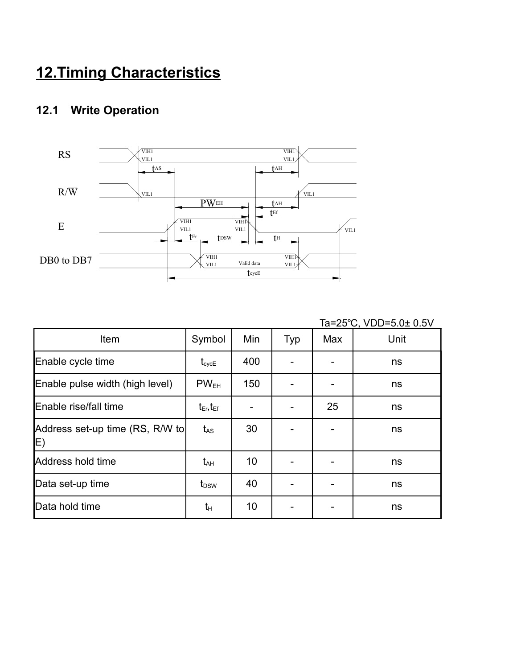### **12.Timing Characteristics**

### **12.1 Write Operation**



|                                       |                     |     |     |     | Ta=25°C, VDD=5.0± 0.5V |
|---------------------------------------|---------------------|-----|-----|-----|------------------------|
| Item                                  | Symbol              | Min | Typ | Max | Unit                   |
| Enable cycle time                     | $t_{\text{cycE}}$   | 400 |     |     | ns                     |
| Enable pulse width (high level)       | PW <sub>EH</sub>    | 150 |     |     | ns                     |
| Enable rise/fall time                 | $t_{Er}$ , $t_{Ef}$ |     |     | 25  | ns                     |
| Address set-up time (RS, R/W to<br>E) | $t_{AS}$            | 30  |     |     | ns                     |
| Address hold time                     | $t_{AH}$            | 10  |     |     | ns                     |
| Data set-up time                      | t <sub>DSW</sub>    | 40  |     |     | ns                     |
| Data hold time                        | $t_{H}$             | 10  |     |     | ns                     |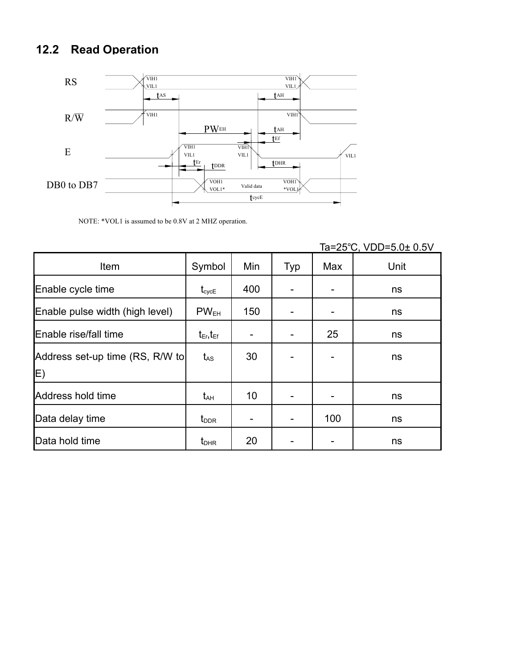### **12.2 Read Operation**



NOTE: \*VOL1 is assumed to be 0.8V at 2 MHZ operation.

|                                 |                              |     |     |     | <u>1874 - 1875 - 1886 - 1896 - 1897 - 1898 - 1899 - 1899 - 1899 - 1899 - 1899 - 1899 - 1899 - 1899 - 1899 - 189</u> |
|---------------------------------|------------------------------|-----|-----|-----|---------------------------------------------------------------------------------------------------------------------|
| Item                            | Symbol                       | Min | Typ | Max | Unit                                                                                                                |
| Enable cycle time               | $\mathfrak{t}_{\text{cycE}}$ | 400 |     |     | ns                                                                                                                  |
| Enable pulse width (high level) | $PW_{EH}$                    | 150 |     |     | ns                                                                                                                  |
| Enable rise/fall time           | $t_{Er}$ , $t_{Ef}$          |     |     | 25  | ns                                                                                                                  |
| Address set-up time (RS, R/W to | $t_{\rm AS}$                 | 30  |     |     | ns                                                                                                                  |
| E)                              |                              |     |     |     |                                                                                                                     |
| Address hold time               | $t_{AH}$                     | 10  |     |     | ns                                                                                                                  |
| Data delay time                 | $t_{\text{DDR}}$             |     |     | 100 | ns                                                                                                                  |
| Data hold time                  | $t_{\text{DHR}}$             | 20  |     |     | ns                                                                                                                  |

 $Ta = 25^\circ C$   $VDD = 5.0 + 0.5V$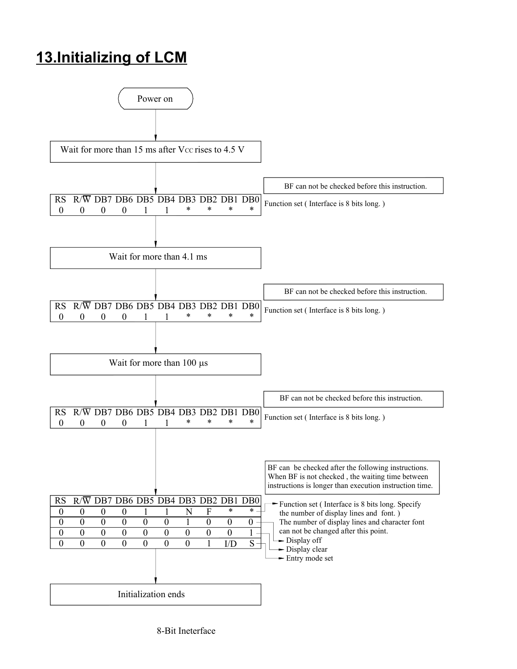### **13.Initializing of LCM**

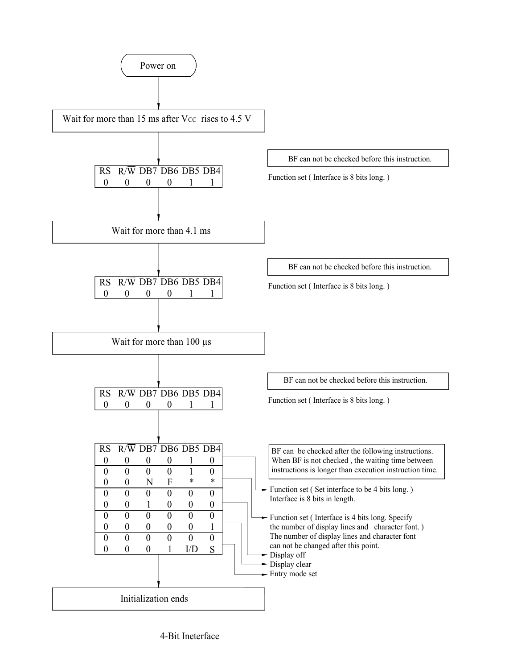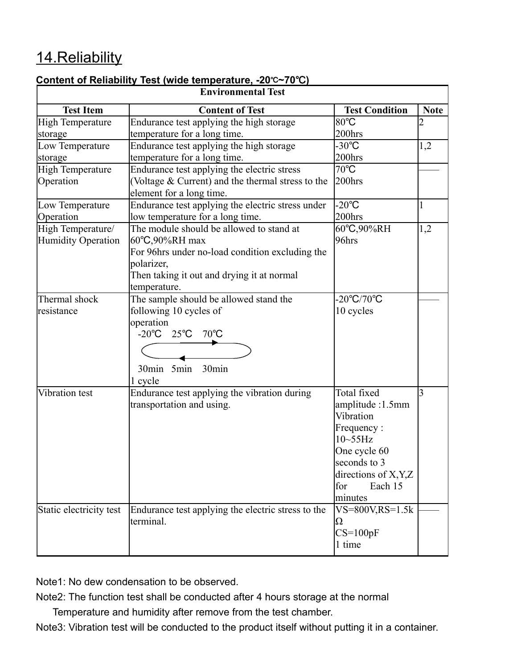### 14.Reliability

#### **Content of Reliability Test (wide temperature, -20**℃**~70 )** ℃

|                           | <b>Environmental Test</b>                          |                            |                |
|---------------------------|----------------------------------------------------|----------------------------|----------------|
| <b>Test Item</b>          | <b>Content of Test</b>                             | <b>Test Condition</b>      | <b>Note</b>    |
| <b>High Temperature</b>   | Endurance test applying the high storage           | 80°C                       | $\overline{c}$ |
| storage                   | temperature for a long time.                       | 200hrs                     |                |
| Low Temperature           | Endurance test applying the high storage           | $-30^{\circ}$ C            | 1,2            |
| storage                   | temperature for a long time.                       | 200hrs                     |                |
| <b>High Temperature</b>   | Endurance test applying the electric stress        | $70^{\circ}$ C             |                |
| Operation                 | (Voltage & Current) and the thermal stress to the  | 200hrs                     |                |
|                           | element for a long time.                           |                            |                |
| Low Temperature           | Endurance test applying the electric stress under  | $-20^{\circ}$ C            | 1              |
| Operation                 | low temperature for a long time.                   | 200hrs                     |                |
| High Temperature/         | The module should be allowed to stand at           | 60°C,90%RH                 | 1,2            |
| <b>Humidity Operation</b> | 60°C,90%RH max                                     | 96hrs                      |                |
|                           | For 96hrs under no-load condition excluding the    |                            |                |
|                           | polarizer,                                         |                            |                |
|                           | Then taking it out and drying it at normal         |                            |                |
|                           | temperature.                                       |                            |                |
| Thermal shock             | The sample should be allowed stand the             | $-20^{\circ}C/70^{\circ}C$ |                |
| resistance                | following 10 cycles of                             | 10 cycles                  |                |
|                           | operation                                          |                            |                |
|                           | -20 $^{\circ}$ C 25 $^{\circ}$ C 70 $^{\circ}$ C   |                            |                |
|                           |                                                    |                            |                |
|                           | 30min 5min<br>30min                                |                            |                |
|                           | 1 cycle                                            |                            |                |
| Vibration test            | Endurance test applying the vibration during       | Total fixed                | 3              |
|                           | transportation and using.                          | amplitude :1.5mm           |                |
|                           |                                                    | Vibration                  |                |
|                           |                                                    | Frequency:                 |                |
|                           |                                                    | $10-55$ Hz                 |                |
|                           |                                                    | One cycle 60               |                |
|                           |                                                    | seconds to 3               |                |
|                           |                                                    | directions of X, Y, Z      |                |
|                           |                                                    | for<br>Each 15             |                |
|                           |                                                    | minutes                    |                |
| Static electricity test   | Endurance test applying the electric stress to the | $VS = 800V$ , $RS = 1.5k$  |                |
|                           | terminal.                                          | Ω                          |                |
|                           |                                                    | $CS=100pF$                 |                |
|                           |                                                    | 1 time                     |                |

Note1: No dew condensation to be observed.

Note2: The function test shall be conducted after 4 hours storage at the normal

Temperature and humidity after remove from the test chamber.

Note3: Vibration test will be conducted to the product itself without putting it in a container.